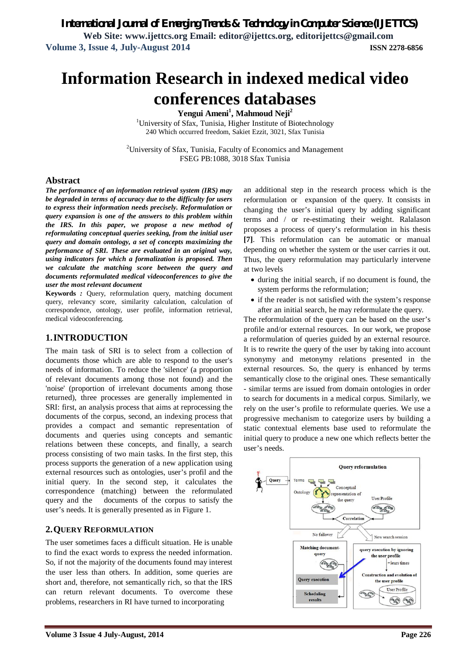**Web Site: www.ijettcs.org Email: editor@ijettcs.org, editorijettcs@gmail.com Volume 3, Issue 4, July-August 2014 ISSN 2278-6856**

# **Information Research in indexed medical video conferences databases**

**Yengui Ameni<sup>1</sup> , Mahmoud Neji<sup>2</sup>**

<sup>1</sup>University of Sfax, Tunisia, Higher Institute of Biotechnology 240 Which occurred freedom, Sakiet Ezzit, 3021, Sfax Tunisia

<sup>2</sup>University of Sfax, Tunisia, Faculty of Economics and Management FSEG PB:1088, 3018 Sfax Tunisia

## **Abstract**

*The performance of an information retrieval system (IRS) may be degraded in terms of accuracy due to the difficulty for users to express their information needs precisely. Reformulation or query expansion is one of the answers to this problem within the IRS. In this paper, we propose a new method of reformulating conceptual queries seeking, from the initial user query and domain ontology, a set of concepts maximizing the performance of SRI. These are evaluated in an original way, using indicators for which a formalization is proposed. Then we calculate the matching score between the query and documents reformulated medical videoconferences to give the user the most relevant document*

**Keywords** *:* Query, reformulation query, matching document query, relevancy score, similarity calculation, calculation of correspondence, ontology, user profile, information retrieval, medical videoconferencing.

## **1.INTRODUCTION**

The main task of SRI is to select from a collection of documents those which are able to respond to the user's needs of information. To reduce the 'silence' (a proportion of relevant documents among those not found) and the 'noise' (proportion of irrelevant documents among those returned), three processes are generally implemented in SRI: first, an analysis process that aims at reprocessing the documents of the corpus, second, an indexing process that provides a compact and semantic representation of documents and queries using concepts and semantic relations between these concepts, and finally, a search process consisting of two main tasks. In the first step, this process supports the generation of a new application using external resources such as ontologies, user's profil and the initial query. In the second step, it calculates the correspondence (matching) between the reformulated query and the documents of the corpus to satisfy the user's needs. It is generally presented as in Figure 1.

# **2.QUERY REFORMULATION**

The user sometimes faces a difficult situation. He is unable to find the exact words to express the needed information. So, if not the majority of the documents found may interest the user less than others. In addition, some queries are short and, therefore, not semantically rich, so that the IRS can return relevant documents. To overcome these problems, researchers in RI have turned to incorporating

an additional step in the research process which is the reformulation or expansion of the query. It consists in changing the user's initial query by adding significant terms and / or re-estimating their weight. Ralalason proposes a process of query's reformulation in his thesis **[7]**. This reformulation can be automatic or manual depending on whether the system or the user carries it out. Thus, the query reformulation may particularly intervene at two levels

- during the initial search, if no document is found, the system performs the reformulation;
- if the reader is not satisfied with the system's response after an initial search, he may reformulate the query.

The reformulation of the query can be based on the user's profile and/or external resources. In our work, we propose a reformulation of queries guided by an external resource. It is to rewrite the query of the user by taking into account synonymy and metonymy relations presented in the external resources. So, the query is enhanced by terms semantically close to the original ones. These semantically - similar terms are issued from domain ontologies in order to search for documents in a medical corpus. Similarly, we rely on the user's profile to reformulate queries. We use a progressive mechanism to categorize users by building a static contextual elements base used to reformulate the initial query to produce a new one which reflects better the user's needs.

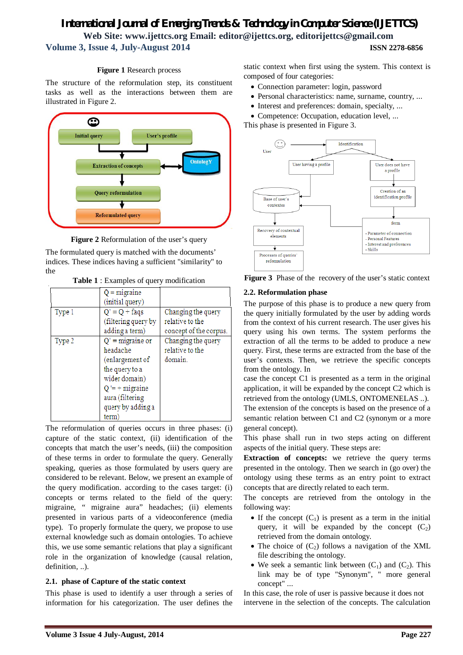#### **Figure 1** Research process

The structure of the reformulation step, its constituent tasks as well as the interactions between them are illustrated in Figure 2.



**Figure 2** Reformulation of the user's query

The formulated query is matched with the documents' indices. These indices having a sufficient "similarity" to the

**Table 1** : Examples of query modification

|        | $Q =$ migraine<br>(initial query)                                                                                                                         |                                                                 |
|--------|-----------------------------------------------------------------------------------------------------------------------------------------------------------|-----------------------------------------------------------------|
| Type 1 | $Q' = Q + f \text{aqs}$<br>(filtering query by<br>adding a term)                                                                                          | Changing the query<br>relative to the<br>concept of the corpus. |
| Type 2 | $Q'$ = migraine or<br>headache<br>(enlargement of<br>the query to a<br>wider domain)<br>$Q' = +$ migraine<br>aura (filtering<br>query by adding a<br>term | Changing the query<br>relative to the<br>domain.                |

The reformulation of queries occurs in three phases: (i) capture of the static context, (ii) identification of the concepts that match the user's needs, (iii) the composition of these terms in order to formulate the query. Generally speaking, queries as those formulated by users query are considered to be relevant. Below, we present an example of the query modification. according to the cases target: (i) concepts or terms related to the field of the query: migraine, " migraine aura" headaches; (ii) elements presented in various parts of a videoconference (media type). To properly formulate the query, we propose to use external knowledge such as domain ontologies. To achieve this, we use some semantic relations that play a significant role in the organization of knowledge (causal relation, definition, ..).

## **2.1. phase of Capture of the static context**

This phase is used to identify a user through a series of information for his categorization. The user defines the static context when first using the system. This context is composed of four categories:

- Connection parameter: login, password
- Personal characteristics: name, surname, country, ...
- Interest and preferences: domain, specialty, ...
- Competence: Occupation, education level, ...

This phase is presented in Figure 3.





## **2.2. Reformulation phase**

The purpose of this phase is to produce a new query from the query initially formulated by the user by adding words from the context of his current research. The user gives his query using his own terms. The system performs the extraction of all the terms to be added to produce a new query. First, these terms are extracted from the base of the user's contexts. Then, we retrieve the specific concepts from the ontology. In

case the concept C1 is presented as a term in the original application, it will be expanded by the concept C2 which is retrieved from the ontology (UMLS, ONTOMENELAS ..).

The extension of the concepts is based on the presence of a semantic relation between C1 and C2 (synonym or a more general concept).

This phase shall run in two steps acting on different aspects of the initial query. These steps are:

**Extraction of concepts:** we retrieve the query terms presented in the ontology. Then we search in (go over) the ontology using these terms as an entry point to extract concepts that are directly related to each term.

The concepts are retrieved from the ontology in the following way:

- If the concept  $(C_1)$  is present as a term in the initial query, it will be expanded by the concept  $(C_2)$ retrieved from the domain ontology.
- The choice of  $(C_2)$  follows a navigation of the XML file describing the ontology.
- We seek a semantic link between  $(C_1)$  and  $(C_2)$ . This link may be of type "Synonym", " more general concept" ...

In this case, the role of user is passive because it does not intervene in the selection of the concepts. The calculation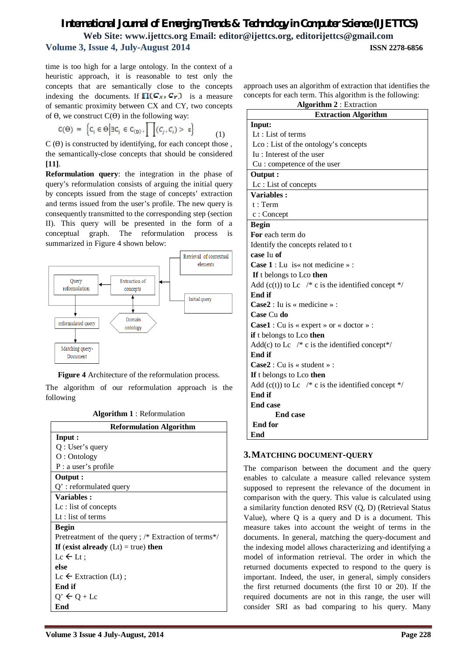time is too high for a large ontology. In the context of a heuristic approach, it is reasonable to test only the concepts that are semantically close to the concepts indexing the documents. If  $\Pi(C_X, C_Y)$  is a measure of semantic proximity between CX and CY, two concepts of  $θ$ , we construct  $C(θ)$  in the following way:

$$
C(\Theta) = \left\{C_i \in \Theta \middle| \exists C_j \in C_{(D)}, \prod(C_j, C_i) > \epsilon \right\} \tag{1}
$$

 $C(\theta)$  is constructed by identifying, for each concept those. the semantically-close concepts that should be considered **[11]**.

**Reformulation query**: the integration in the phase of query's reformulation consists of arguing the initial query by concepts issued from the stage of concepts' extraction and terms issued from the user's profile. The new query is consequently transmitted to the corresponding step (section II). This query will be presented in the form of a conceptual graph. The reformulation process is summarized in Figure 4 shown below:





The algorithm of our reformulation approach is the following

**Algorithm 1** : Reformulation

| <b>Reformulation Algorithm</b>                      |  |
|-----------------------------------------------------|--|
| Input :                                             |  |
| Q: User's query                                     |  |
| O: Ontology                                         |  |
| P: a user's profile                                 |  |
| Output :                                            |  |
| $Q'$ : reformulated query                           |  |
| Variables:                                          |  |
| $Lc$ : list of concepts                             |  |
| Lt : list of terms                                  |  |
| <b>Begin</b>                                        |  |
| Pretreatment of the query; /* Extraction of terms*/ |  |
| If (exist already $(Lt) = true$ ) then              |  |
| $Lc \leftarrow Lt$ :                                |  |
| else                                                |  |
| Lc $\leftarrow$ Extraction (Lt);                    |  |
| End if                                              |  |
| $Q' \leftarrow Q + Lc$                              |  |
| End                                                 |  |

approach uses an algorithm of extraction that identifies the concepts for each term. This algorithm is the following:

| <b>Algorithm 2</b> : Extraction |  |
|---------------------------------|--|
|---------------------------------|--|

| $\frac{1}{2}$<br><b>Extraction Algorithm</b>                         |  |
|----------------------------------------------------------------------|--|
| Input:                                                               |  |
| Lt: List of terms                                                    |  |
| Lco: List of the ontology's concepts                                 |  |
| Iu: Interest of the user                                             |  |
| Cu : competence of the user                                          |  |
| Output :                                                             |  |
| Lc: List of concepts                                                 |  |
| Variables:                                                           |  |
| t: Term                                                              |  |
| $c:$ Concept                                                         |  |
| <b>Begin</b>                                                         |  |
| For each term do                                                     |  |
| Identify the concepts related to t                                   |  |
| case Iu of                                                           |  |
| <b>Case 1</b> : Lu is $\kappa$ not medicine $\kappa$ :               |  |
| If t belongs to Lco then                                             |  |
| Add (c(t)) to Lc $\sqrt{*}$ c is the identified concept $\sqrt{*}$ / |  |
| End if                                                               |  |
| $\text{Case2}:$ Iu is « medicine » :                                 |  |
| Case Cu do                                                           |  |
| <b>Case1</b> : Cu is « expert » or « doctor » :                      |  |
| if t belongs to Lco then                                             |  |
| Add(c) to Lc $/*$ c is the identified concept*/                      |  |
| End if                                                               |  |
| $Case2: Cu is \times student \times$ :                               |  |
| If t belongs to Lco then                                             |  |
| Add (c(t)) to Lc $\sqrt{*}$ c is the identified concept $\sqrt{*}$ / |  |
| End if                                                               |  |
| <b>End case</b>                                                      |  |
| <b>End case</b>                                                      |  |
| <b>End for</b>                                                       |  |
| End                                                                  |  |

## **3.MATCHING DOCUMENT-QUERY**

The comparison between the document and the query enables to calculate a measure called relevance system supposed to represent the relevance of the document in comparison with the query. This value is calculated using a similarity function denoted RSV (Q, D) (Retrieval Status Value), where Q is a query and D is a document. This measure takes into account the weight of terms in the documents. In general, matching the query-document and the indexing model allows characterizing and identifying a model of information retrieval. The order in which the returned documents expected to respond to the query is important. Indeed, the user, in general, simply considers the first returned documents (the first 10 or 20). If the required documents are not in this range, the user will consider SRI as bad comparing to his query. Many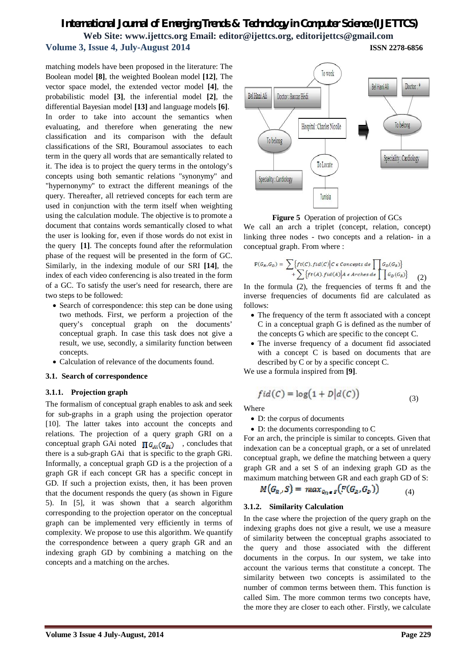matching models have been proposed in the literature: The Boolean model **[8]**, the weighted Boolean model **[12]**, The vector space model, the extended vector model **[4]**, the probabilistic model **[3]**, the inferential model **[2]**, the differential Bayesian model **[13]** and language models **[6]**. In order to take into account the semantics when evaluating, and therefore when generating the new classification and its comparison with the default classifications of the SRI, Bouramoul associates to each term in the query all words that are semantically related to it. The idea is to project the query terms in the ontology's concepts using both semantic relations "synonymy" and "hypernonymy" to extract the different meanings of the query. Thereafter, all retrieved concepts for each term are used in conjunction with the term itself when weighting using the calculation module. The objective is to promote a document that contains words semantically closed to what the user is looking for, even if those words do not exist in the query **[1]**. The concepts found after the reformulation phase of the request will be presented in the form of GC. Similarly, in the indexing module of our SRI **[14]**, the index of each video conferencing is also treated in the form of a GC. To satisfy the user's need for research, there are two steps to be followed:

- Search of correspondence: this step can be done using two methods. First, we perform a projection of the query's conceptual graph on the documents' conceptual graph. In case this task does not give a result, we use, secondly, a similarity function between concepts.
- Calculation of relevance of the documents found.

#### **3.1. Search of correspondence**

#### **3.1.1. Projection graph**

The formalism of conceptual graph enables to ask and seek for sub-graphs in a graph using the projection operator [10]. The latter takes into account the concepts and relations. The projection of a query graph GRI on a conceptual graph GAi noted  $\prod G_{Ai}(G_{Bi})$ , concludes that there is a sub-graph GAi that is specific to the graph GRi. Informally, a conceptual graph GD is a the projection of a graph GR if each concept GR has a specific concept in GD. If such a projection exists, then, it has been proven that the document responds the query (as shown in Figure 5). In [5], it was shown that a search algorithm corresponding to the projection operator on the conceptual graph can be implemented very efficiently in terms of complexity. We propose to use this algorithm. We quantify the correspondence between a query graph GR and an indexing graph GD by combining a matching on the concepts and a matching on the arches.





**Figure 5** Operation of projection of GCs

We call an arch a triplet (concept, relation, concept) linking three nodes - two concepts and a relation- in a conceptual graph. From where :

$$
(G_R, G_D) = \sum \{ ft(C), fid(C) | C \in Concepts \ de \ \prod G_D(G_R) \} + \sum \{ ft(A), fid(A) | A \in Arches \ de \ \prod G_D(G_R) \} \tag{2}
$$

In the formula (2), the frequencies of terms ft and the inverse frequencies of documents fid are calculated as follows:

- The frequency of the term ft associated with a concept C in a conceptual graph G is defined as the number of the concepts G which are specific to the concept C.
- The inverse frequency of a document fid associated with a concept C is based on documents that are described by C or by a specific concept C.

We use a formula inspired from **[9]**.

$$
fid(C) = \log(1 + D|d(C))
$$
\n(3)

Where

P

D: the corpus of documents

D: the documents corresponding to C

For an arch, the principle is similar to concepts. Given that indexation can be a conceptual graph, or a set of unrelated conceptual graph, we define the matching between a query graph GR and a set S of an indexing graph GD as the maximum matching between GR and each graph GD of S:

$$
M(G_{R,S}) = max_{G_{R} \in S} \big( F(G_{R}, G_{R}) \big) \tag{4}
$$

#### **3.1.2. Similarity Calculation**

In the case where the projection of the query graph on the indexing graphs does not give a result, we use a measure of similarity between the conceptual graphs associated to the query and those associated with the different documents in the corpus. In our system, we take into account the various terms that constitute a concept. The similarity between two concepts is assimilated to the number of common terms between them. This function is called Sim. The more common terms two concepts have, the more they are closer to each other. Firstly, we calculate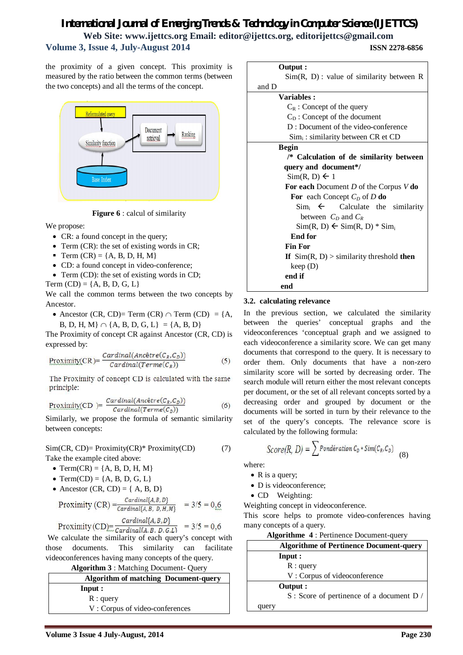# *International Journal of Emerging Trends & Technology in Computer Science (IJETTCS)* **Web Site: www.ijettcs.org Email: editor@ijettcs.org, editorijettcs@gmail.com**

#### **Volume 3, Issue 4, July-August 2014 ISSN 2278-6856**

the proximity of a given concept. This proximity is measured by the ratio between the common terms (between the two concepts) and all the terms of the concept.



**Figure 6** : calcul of similarity

We propose:

- CR: a found concept in the query;
- Term (CR): the set of existing words in CR;
- Term  $(CR) = \{A, B, D, H, M\}$
- CD: a found concept in video-conference;
- Term (CD): the set of existing words in CD;

Term  $(CD) = \{A, B, D, G, L\}$ 

We call the common terms between the two concepts by Ancestor.

• Ancestor (CR, CD)= Term (CR)  $\cap$  Term (CD) = {A, B, D, H, M}  $\cap$  {A, B, D, G, L} = {A, B, D}

The Proximity of concept CR against Ancestor (CR, CD) is expressed by:

$$
\frac{Proximity(CR) = \frac{Cardinal(Anc\hat{e}tre(C_R, C_D))}{Cardinal(Terme(C_R))}
$$
(5)

The Proximity of concept CD is calculated with the same principle:

$$
\frac{Proximity(CD)}{Cardinal(Arc\hat{e}tre(C_R, C_D))}
$$
(6)

Similarly, we propose the formula of semantic similarity between concepts:

Sim(CR, CD)= Proximity(CR)\* Proximity(CD) (7) Take the example cited above:

- Term(CR) = { $A, B, D, H, M$ }
- Term(CD) = { $A, B, D, G, L$ }
- Ancestor (CR, CD) =  ${A, B, D}$

$$
Proximity (CR) = \frac{Cardinal{A,B,D}}{Cardinal{A,B,D,H,M}} = 3/5 = 0.6
$$

$$
D = \frac{Cardinal\{A, B, D\}}{Cardical\{A, B, D, G, I\}} = 3/5 = 0.6
$$

Proximity  $(CD) = \frac{1}{Cardinal(A, B, D, G, L)}$  = 3/5 = 0,0<br>We calculate the similarity of each query's concept with those documents. This similarity can facilitate videoconferences having many concepts of the query.

**Algorithm 3** : Matching Document- Query

|          | <b>Algorithm of matching Document-query</b> |  |
|----------|---------------------------------------------|--|
| Input :  |                                             |  |
| R: query |                                             |  |
|          | V: Corpus of video-conferences              |  |

| Output :                                          |  |
|---------------------------------------------------|--|
| $Sim(R, D)$ : value of similarity between R       |  |
| and D                                             |  |
| <b>Variables :</b>                                |  |
| $C_R$ : Concept of the query                      |  |
| $C_D$ : Concept of the document                   |  |
| D: Document of the video-conference               |  |
| $Sim_i$ : similarity between CR et CD             |  |
| <b>Begin</b>                                      |  |
| /* Calculation of de similarity between           |  |
| query and document*/                              |  |
| $Sim(R, D) \leftarrow 1$                          |  |
| For each Document $D$ of the Corpus $V$ do        |  |
| For each Concept $C_D$ of D do                    |  |
| $\lim_{i} \leftarrow$ Calculate the similarity    |  |
| between $C_p$ and $C_R$                           |  |
| $Sim(R, D) \leftarrow Sim(R, D) * Sim$            |  |
| <b>End for</b>                                    |  |
| <b>Fin For</b>                                    |  |
| If $\text{Sim}(R, D)$ > similarity threshold then |  |
| keep(D)                                           |  |
| end if                                            |  |
| end                                               |  |

#### **3.2. calculating relevance**

In the previous section, we calculated the similarity between the queries' conceptual graphs and the videoconferences 'conceptual graph and we assigned to each videoconference a similarity score. We can get many documents that correspond to the query. It is necessary to order them. Only documents that have a non-zero similarity score will be sorted by decreasing order. The search module will return either the most relevant concepts per document, or the set of all relevant concepts sorted by a decreasing order and grouped by document or the documents will be sorted in turn by their relevance to the set of the query's concepts. The relevance score is calculated by the following formula:

$$
Score(R, D) = \sum \text{Pondération } C_D * Sim(C_R, C_D)
$$
\n(8)

where:

- $\bullet$  R is a query;
- D is videoconference;
- CD Weighting:

Weighting concept in videoconference.

This score helps to promote video-conferences having many concepts of a query.

**Algorithme 4** : Pertinence Document-query

| <b>Algorithme of Pertinence Document-query</b> |
|------------------------------------------------|
| Input :                                        |
| $R:$ query                                     |
| V: Corpus of videoconference                   |
| Output :                                       |
| S: Score of pertinence of a document D /       |
| query                                          |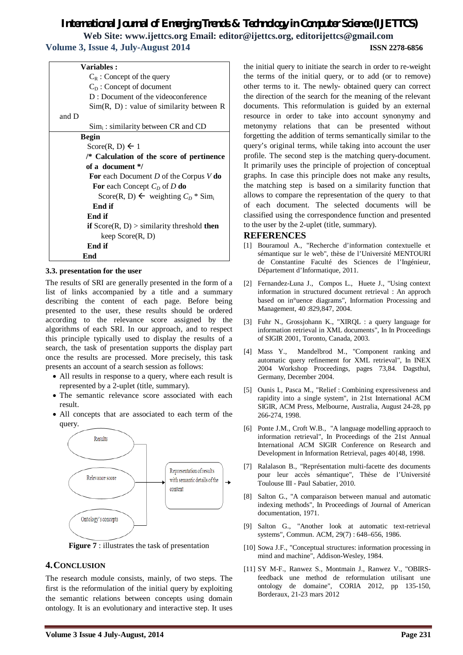| <b>Variables :</b>                                          |  |
|-------------------------------------------------------------|--|
| $C_R$ : Concept of the query                                |  |
| $C_D$ : Concept of document                                 |  |
| D: Document of the videoconference                          |  |
| $Sim(R, D)$ : value of similarity between R                 |  |
| and D                                                       |  |
| $Sim_i$ : similarity between CR and CD                      |  |
| <b>Begin</b>                                                |  |
| Score(R, D) $\leftarrow$ 1                                  |  |
| /* Calculation of the score of pertinence                   |  |
| of a document */                                            |  |
| For each Document D of the Corpus $V$ do                    |  |
| For each Concept $C_D$ of D do                              |  |
| Score(R, D) $\leftarrow$ weighting $C_D$ * Sim <sub>i</sub> |  |
| End if                                                      |  |
| End if                                                      |  |
| if $Score(R, D) >$ similarity threshold then                |  |
| keep $Score(R, D)$                                          |  |
| End if                                                      |  |
| End                                                         |  |

#### **3.3. presentation for the user**

The results of SRI are generally presented in the form of a list of links accompanied by a title and a summary describing the content of each page. Before being presented to the user, these results should be ordered according to the relevance score assigned by the algorithms of each SRI. In our approach, and to respect this principle typically used to display the results of a search, the task of presentation supports the display part once the results are processed. More precisely, this task presents an account of a search session as follows:

- All results in response to a query, where each result is represented by a 2-uplet (title, summary).
- The semantic relevance score associated with each result.
- All concepts that are associated to each term of the query.



**Figure 7** : illustrates the task of presentation

## **4.CONCLUSION**

The research module consists, mainly, of two steps. The first is the reformulation of the initial query by exploiting the semantic relations between concepts using domain ontology. It is an evolutionary and interactive step. It uses the initial query to initiate the search in order to re-weight the terms of the initial query, or to add (or to remove) other terms to it. The newly- obtained query can correct the direction of the search for the meaning of the relevant documents. This reformulation is guided by an external resource in order to take into account synonymy and metonymy relations that can be presented without forgetting the addition of terms semantically similar to the query's original terms, while taking into account the user profile. The second step is the matching query-document. It primarily uses the principle of projection of conceptual graphs. In case this principle does not make any results, the matching step is based on a similarity function that allows to compare the representation of the query to that of each document. The selected documents will be classified using the correspondence function and presented to the user by the 2-uplet (title, summary).

#### **REFERENCES**

- [1] Bouramoul A., "Recherche d'information contextuelle et sémantique sur le web", thèse de l'Université MENTOURI de Constantine Faculté des Sciences de l'Ingénieur, Département d'Informatique, 2011.
- [2] Fernandez-Luna J., Compos L., Huete J., "Using context information in structured document retrieval : An approch based on in°uence diagrams", Information Processing and Management, 40 :829,847, 2004.
- [3] Fuhr N., Grossjohann K., "XIRQL : a query language for information retrieval in XML documents", In In Proceedings of SIGIR 2001, Toronto, Canada, 2003.
- [4] Mass Y., Mandelbrod M., "Component ranking and automatic query refinement for XML retrieval", In INEX 2004 Workshop Proceedings, pages 73,84. Dagsthul, Germany, December 2004.
- [5] Ounis I., Pasca M., "Relief : Combining expressiveness and rapidity into a single system", in 21st International ACM SIGIR, ACM Press, Melbourne, Australia, August 24-28, pp 266-274, 1998.
- [6] Ponte J.M., Croft W.B., "A language modelling appraoch to information retrieval", In Proceedings of the 21st Annual International ACM SIGIR Conference on Research and Development in Information Retrieval, pages 40{48, 1998.
- [7] Ralalason B., "Représentation multi-facette des documents pour leur accès sémantique", Thèse de l'Université Toulouse III - Paul Sabatier, 2010.
- [8] Salton G., "A comparaison between manual and automatic indexing methods", In Proceedings of Journal of American documentation, 1971.
- [9] Salton G., "Another look at automatic text-retrieval systems", Commun. ACM, 29(7) : 648–656, 1986.
- [10] Sowa J.F., "Conceptual structures: information processing in mind and machine", Addison-Wesley, 1984.
- [11] SY M-F., Ranwez S., Montmain J., Ranwez V., "OBIRSfeedback une method de reformulation utilisant une ontology de domaine", CORIA 2012, pp 135-150, Borderaux, 21-23 mars 2012